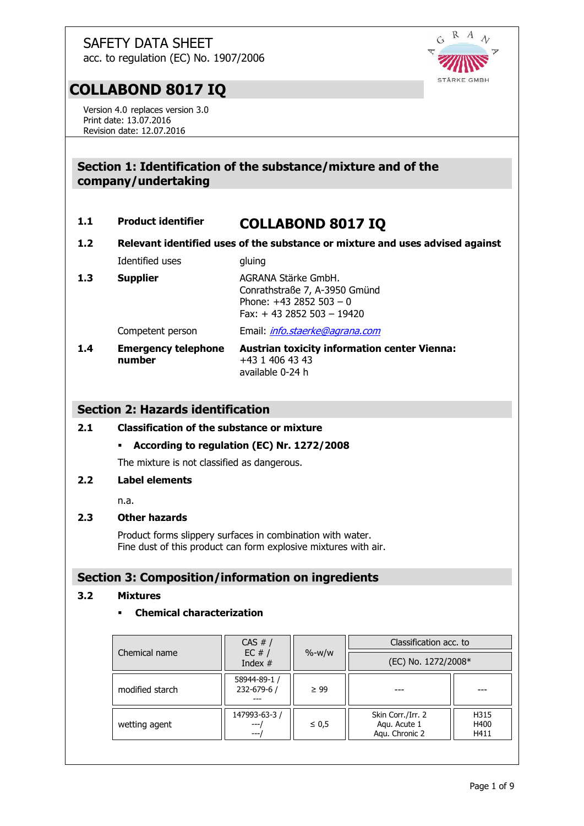R A  $\lambda$  $\tilde{G}$ STÄRKE GMBH

## **COLLABOND 8017 IQ**

Version 4.0 replaces version 3.0 Print date: 13.07.2016 Revision date: 12.07.2016

## **Section 1: Identification of the substance/mixture and of the company/undertaking**

## **1.1 Product identifier COLLABOND 8017 IQ**

**1.2 Relevant identified uses of the substance or mixture and uses advised against**

Identified uses gluing

## 1.3 **Supplier AGRANA Stärke GmbH.** Conrathstraße 7, A-3950 Gmünd Phone:  $+43$  2852 503 - 0 Fax: + 43 2852 503 – 19420

Competent person Email: *[info.staerke@agrana.com](mailto:info.stärke@agrana.com)* 

#### **1.4 Emergency telephone number Austrian toxicity information center Vienna:** +43 1 406 43 43 available 0-24 h

## **Section 2: Hazards identification**

## **2.1 Classification of the substance or mixture**

**According to regulation (EC) Nr. 1272/2008**

The mixture is not classified as dangerous.

## **2.2 Label elements**

n.a.

## **2.3 Other hazards**

Product forms slippery surfaces in combination with water. Fine dust of this product can form explosive mixtures with air.

## **Section 3: Composition/information on ingredients**

#### **3.2 Mixtures**

## **Chemical characterization**

| Chemical name   | CAS #/<br>EC $#/$<br>Index $#$ | $\% - W/W$ | Classification acc. to                              |                      |
|-----------------|--------------------------------|------------|-----------------------------------------------------|----------------------|
|                 |                                |            | (EC) No. 1272/2008*                                 |                      |
| modified starch | 58944-89-1 /<br>232-679-6 /    | $\geq 99$  |                                                     |                      |
| wetting agent   | 147993-63-3 /<br>$---$         | $\leq 0.5$ | Skin Corr./Irr. 2<br>Aqu. Acute 1<br>Agu. Chronic 2 | H315<br>H400<br>H411 |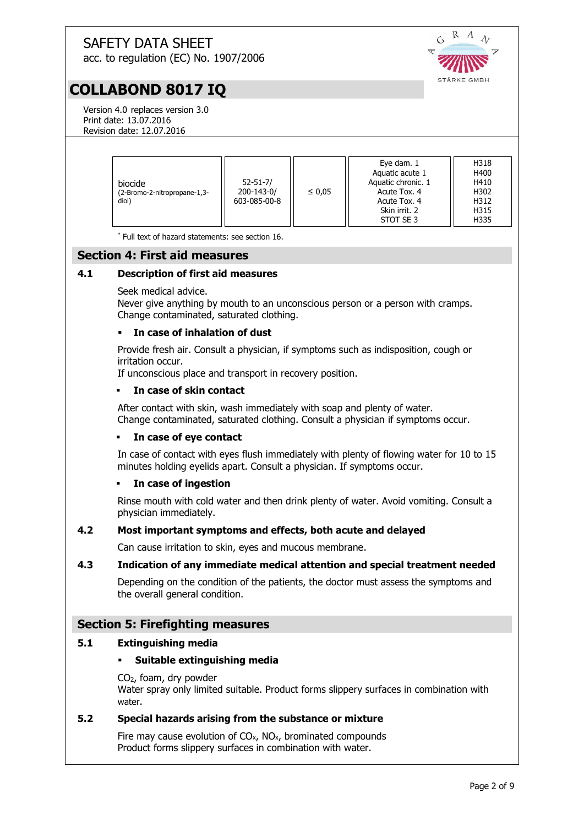R  $\lambda$ G STÄRKE GMBH

## acc. to regulation (EC) No. 1907/2006

## **COLLABOND 8017 IQ**

Version 4.0 replaces version 3.0 Print date: 13.07.2016 Revision date: 12.07.2016

| biocide<br>-2.Bromo-2-nitropropane-1,3)<br>diol) | $52 - 51 - 7/$<br>200-143-0/<br>603-085-00-8 | $\leq 0.05$ | Eye dam. 1<br>Aquatic acute 1<br>Aquatic chronic. 1<br>Acute Tox. 4<br>Acute Tox. 4 | H318<br>H400<br>H410<br>H302<br>H312 |
|--------------------------------------------------|----------------------------------------------|-------------|-------------------------------------------------------------------------------------|--------------------------------------|
|                                                  |                                              |             | Skin irrit. 2                                                                       | H315                                 |
|                                                  |                                              |             | STOT SE 3                                                                           | H335                                 |

\* Full text of hazard statements: see section 16.

## **Section 4: First aid measures**

#### **4.1 Description of first aid measures**

Seek medical advice.

Never give anything by mouth to an unconscious person or a person with cramps. Change contaminated, saturated clothing.

#### **In case of inhalation of dust**

Provide fresh air. Consult a physician, if symptoms such as indisposition, cough or irritation occur.

If unconscious place and transport in recovery position.

#### **In case of skin contact**

After contact with skin, wash immediately with soap and plenty of water. Change contaminated, saturated clothing. Consult a physician if symptoms occur.

#### **In case of eye contact**

In case of contact with eyes flush immediately with plenty of flowing water for 10 to 15 minutes holding eyelids apart. Consult a physician. If symptoms occur.

#### **In case of ingestion**

Rinse mouth with cold water and then drink plenty of water. Avoid vomiting. Consult a physician immediately.

#### **4.2 Most important symptoms and effects, both acute and delayed**

Can cause irritation to skin, eyes and mucous membrane.

#### **4.3 Indication of any immediate medical attention and special treatment needed**

Depending on the condition of the patients, the doctor must assess the symptoms and the overall general condition.

#### **Section 5: Firefighting measures**

#### **5.1 Extinguishing media**

#### **Suitable extinguishing media**

CO2, foam, dry powder Water spray only limited suitable. Product forms slippery surfaces in combination with water.

#### **5.2 Special hazards arising from the substance or mixture**

Fire may cause evolution of  $CO<sub>x</sub>$ , NO<sub>x</sub>, brominated compounds Product forms slippery surfaces in combination with water.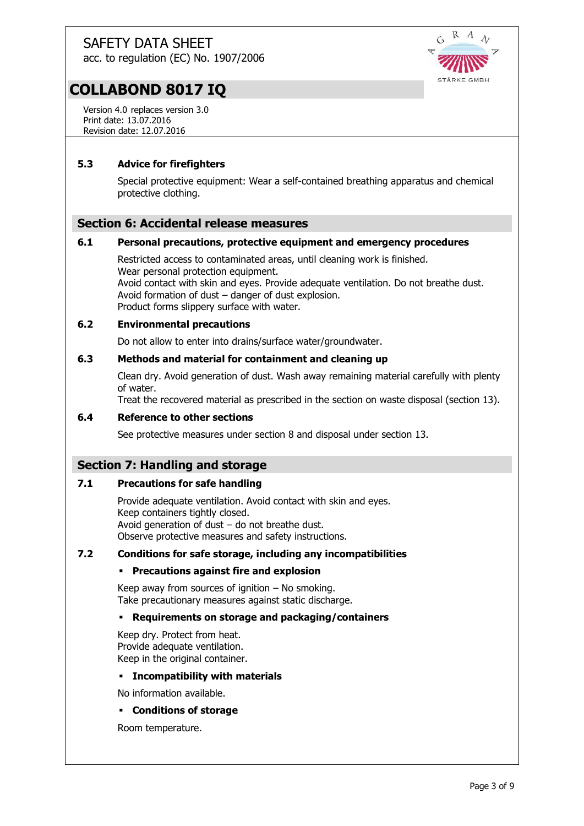acc. to regulation (EC) No. 1907/2006



## **COLLABOND 8017 IQ**

Version 4.0 replaces version 3.0 Print date: 13.07.2016 Revision date: 12.07.2016

### **5.3 Advice for firefighters**

Special protective equipment: Wear a self-contained breathing apparatus and chemical protective clothing.

### **Section 6: Accidental release measures**

#### **6.1 Personal precautions, protective equipment and emergency procedures**

Restricted access to contaminated areas, until cleaning work is finished. Wear personal protection equipment. Avoid contact with skin and eyes. Provide adequate ventilation. Do not breathe dust. Avoid formation of dust – danger of dust explosion. Product forms slippery surface with water.

#### **6.2 Environmental precautions**

Do not allow to enter into drains/surface water/groundwater.

#### **6.3 Methods and material for containment and cleaning up**

Clean dry. Avoid generation of dust. Wash away remaining material carefully with plenty of water.

Treat the recovered material as prescribed in the section on waste disposal (section 13).

#### **6.4 Reference to other sections**

See protective measures under section 8 and disposal under section 13.

## **Section 7: Handling and storage**

#### **7.1 Precautions for safe handling**

Provide adequate ventilation. Avoid contact with skin and eyes. Keep containers tightly closed. Avoid generation of dust – do not breathe dust. Observe protective measures and safety instructions.

#### **7.2 Conditions for safe storage, including any incompatibilities**

#### **Precautions against fire and explosion**

Keep away from sources of ignition  $-$  No smoking. Take precautionary measures against static discharge.

#### **Requirements on storage and packaging/containers**

Keep dry. Protect from heat. Provide adequate ventilation. Keep in the original container.

#### **Incompatibility with materials**

No information available.

#### **Conditions of storage**

Room temperature.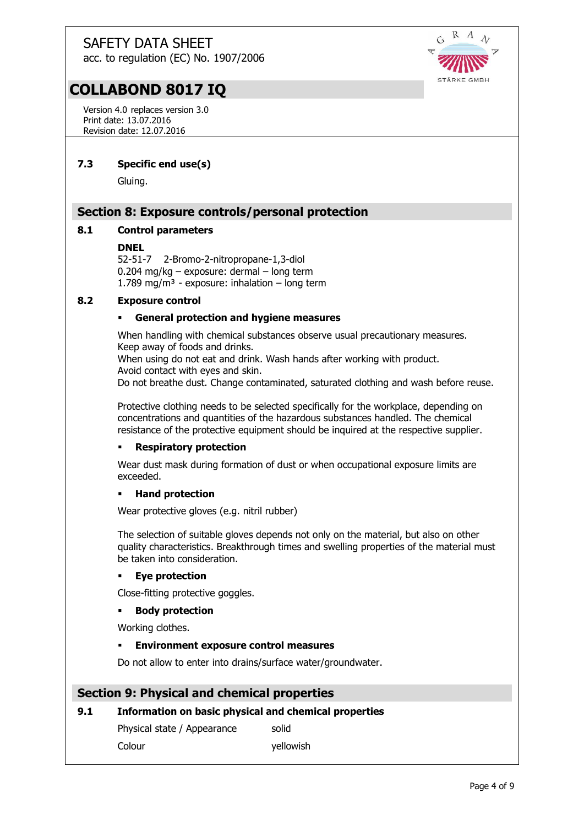acc. to regulation (EC) No. 1907/2006



## **COLLABOND 8017 IQ**

Version 4.0 replaces version 3.0 Print date: 13.07.2016 Revision date: 12.07.2016

### **7.3 Specific end use(s)**

Gluing.

## **Section 8: Exposure controls/personal protection**

#### **8.1 Control parameters**

#### **DNEL**

52-51-7 2-Bromo-2-nitropropane-1,3-diol 0.204 mg/kg – exposure: dermal – long term 1.789 mg/m<sup>3</sup> - exposure: inhalation – long term

#### **8.2 Exposure control**

#### **General protection and hygiene measures**

When handling with chemical substances observe usual precautionary measures. Keep away of foods and drinks.

When using do not eat and drink. Wash hands after working with product. Avoid contact with eyes and skin.

Do not breathe dust. Change contaminated, saturated clothing and wash before reuse.

Protective clothing needs to be selected specifically for the workplace, depending on concentrations and quantities of the hazardous substances handled. The chemical resistance of the protective equipment should be inquired at the respective supplier.

#### **Respiratory protection**

Wear dust mask during formation of dust or when occupational exposure limits are exceeded.

#### **Hand protection**

Wear protective gloves (e.g. nitril rubber)

The selection of suitable gloves depends not only on the material, but also on other quality characteristics. Breakthrough times and swelling properties of the material must be taken into consideration.

#### **Eye protection**

Close-fitting protective goggles.

#### **Body protection**

Working clothes.

#### **Environment exposure control measures**

Do not allow to enter into drains/surface water/groundwater.

#### **Section 9: Physical and chemical properties**

#### **9.1 Information on basic physical and chemical properties**

Physical state / Appearance solid Colour vellowish

Page 4 of 9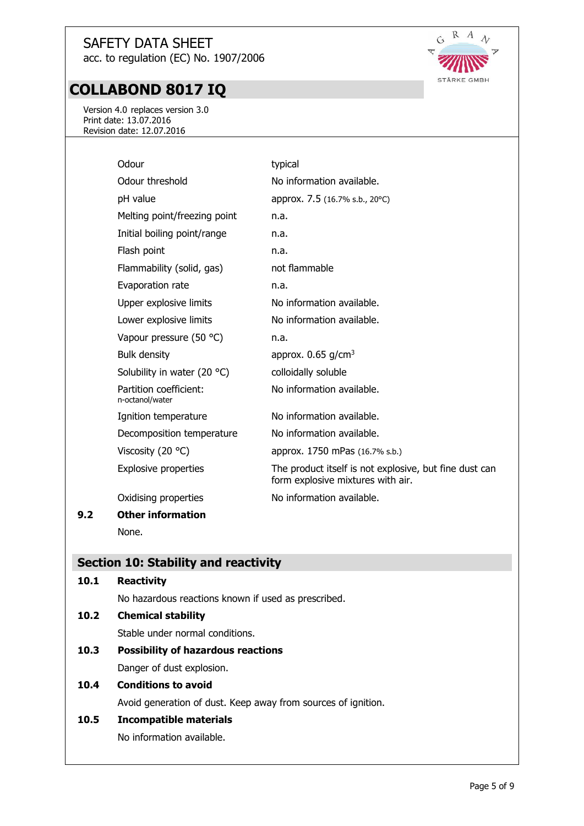## **COLLABOND 8017 IQ**

Version 4.0 replaces version 3.0 Print date: 13.07.2016 Revision date: 12.07.2016

| Odour                                     | typical                                                                                     |
|-------------------------------------------|---------------------------------------------------------------------------------------------|
| Odour threshold                           | No information available.                                                                   |
| pH value                                  | approx. 7.5 (16.7% s.b., 20°C)                                                              |
| Melting point/freezing point              | n.a.                                                                                        |
| Initial boiling point/range               | n.a.                                                                                        |
| Flash point                               | n.a.                                                                                        |
| Flammability (solid, gas)                 | not flammable                                                                               |
| Evaporation rate                          | n.a.                                                                                        |
| Upper explosive limits                    | No information available.                                                                   |
| Lower explosive limits                    | No information available.                                                                   |
| Vapour pressure (50 °C)                   | n.a.                                                                                        |
| <b>Bulk density</b>                       | approx. $0.65$ g/cm <sup>3</sup>                                                            |
| Solubility in water (20 $^{\circ}$ C)     | colloidally soluble                                                                         |
| Partition coefficient:<br>n-octanol/water | No information available.                                                                   |
| Ignition temperature                      | No information available.                                                                   |
| Decomposition temperature                 | No information available.                                                                   |
| Viscosity (20 $\degree$ C)                | approx. 1750 mPas (16.7% s.b.)                                                              |
| <b>Explosive properties</b>               | The product itself is not explosive, but fine dust can<br>form explosive mixtures with air. |
| Oxidising properties                      | No information available.                                                                   |
| <b>Other information</b>                  |                                                                                             |
| None.                                     |                                                                                             |

## **Section 10: Stability and reactivity**

**9.2 Other information**

| 10.1 | <b>Reactivity</b>                                             |
|------|---------------------------------------------------------------|
|      | No hazardous reactions known if used as prescribed.           |
| 10.2 | <b>Chemical stability</b>                                     |
|      | Stable under normal conditions.                               |
| 10.3 | <b>Possibility of hazardous reactions</b>                     |
|      | Danger of dust explosion.                                     |
| 10.4 | <b>Conditions to avoid</b>                                    |
|      | Avoid generation of dust. Keep away from sources of ignition. |
| 10.5 | Incompatible materials                                        |
|      | No information available.                                     |



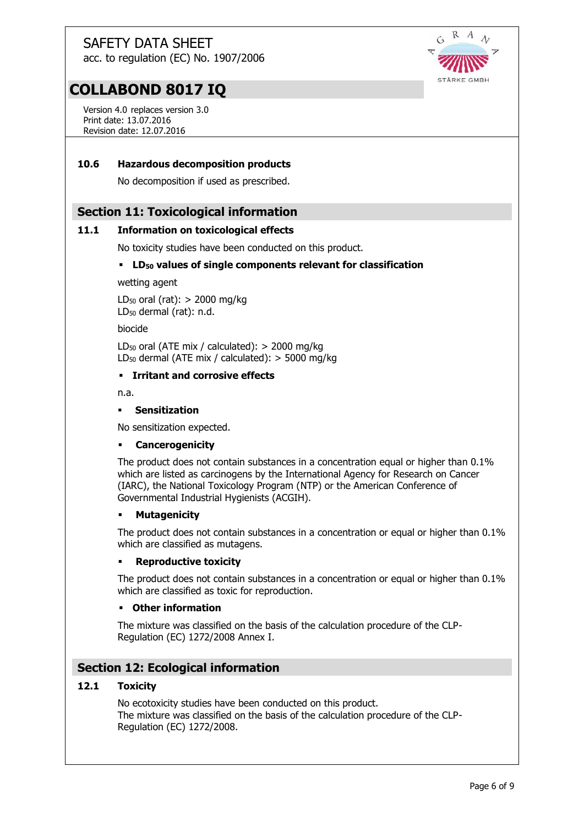$\mathcal{C}_{\mathbf{A}}$  $\lambda$ STÄRKE GMBH

## **COLLABOND 8017 IQ**

Version 4.0 replaces version 3.0 Print date: 13.07.2016 Revision date: 12.07.2016

#### **10.6 Hazardous decomposition products**

No decomposition if used as prescribed.

#### **Section 11: Toxicological information**

#### **11.1 Information on toxicological effects**

No toxicity studies have been conducted on this product.

#### **LD<sup>50</sup> values of single components relevant for classification**

wetting agent

LD<sub>50</sub> oral (rat):  $>$  2000 mg/kg LD<sup>50</sup> dermal (rat): n.d.

biocide

 $LD_{50}$  oral (ATE mix / calculated):  $>$  2000 mg/kg LD<sub>50</sub> dermal (ATE mix / calculated):  $>$  5000 mg/kg

#### **Irritant and corrosive effects**

n.a.

#### **Sensitization**

No sensitization expected.

#### **Cancerogenicity**

The product does not contain substances in a concentration equal or higher than 0.1% which are listed as carcinogens by the International Agency for Research on Cancer (IARC), the National Toxicology Program (NTP) or the American Conference of Governmental Industrial Hygienists (ACGIH).

#### **Mutagenicity**

The product does not contain substances in a concentration or equal or higher than 0.1% which are classified as mutagens.

#### **Reproductive toxicity**

The product does not contain substances in a concentration or equal or higher than 0.1% which are classified as toxic for reproduction.

#### **Other information**

The mixture was classified on the basis of the calculation procedure of the CLP-Regulation (EC) 1272/2008 Annex I.

## **Section 12: Ecological information**

#### **12.1 Toxicity**

No ecotoxicity studies have been conducted on this product. The mixture was classified on the basis of the calculation procedure of the CLP-Regulation (EC) 1272/2008.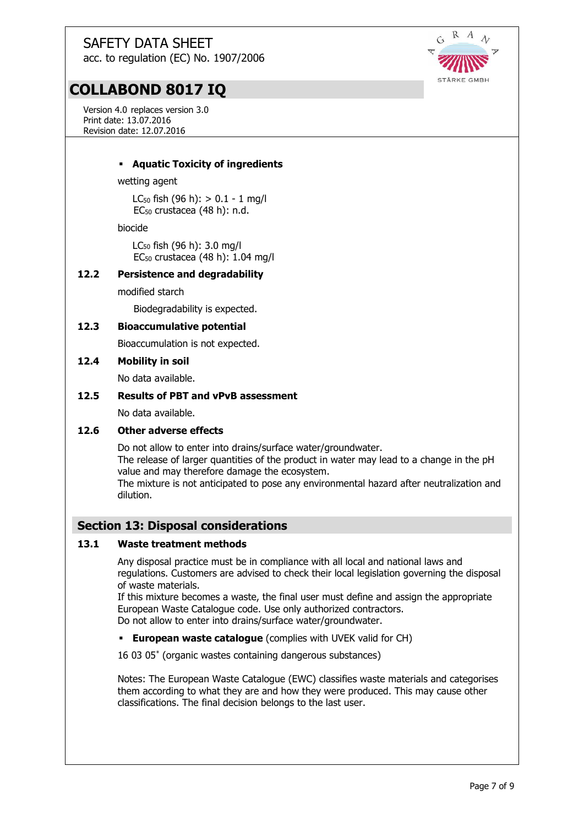

Version 4.0 replaces version 3.0 Print date: 13.07.2016 Revision date: 12.07.2016



#### **Aquatic Toxicity of ingredients**

wetting agent

LC<sub>50</sub> fish  $(96 h):$  > 0.1 - 1 mg/l EC<sup>50</sup> crustacea (48 h): n.d.

biocide

LC<sup>50</sup> fish (96 h): 3.0 mg/l EC<sup>50</sup> crustacea (48 h): 1.04 mg/l

#### **12.2 Persistence and degradability**

modified starch

Biodegradability is expected.

#### **12.3 Bioaccumulative potential**

Bioaccumulation is not expected.

#### **12.4 Mobility in soil**

No data available.

#### **12.5 Results of PBT and vPvB assessment**

No data available.

#### **12.6 Other adverse effects**

Do not allow to enter into drains/surface water/groundwater. The release of larger quantities of the product in water may lead to a change in the pH value and may therefore damage the ecosystem. The mixture is not anticipated to pose any environmental hazard after neutralization and dilution.

#### **Section 13: Disposal considerations**

#### **13.1 Waste treatment methods**

Any disposal practice must be in compliance with all local and national laws and regulations. Customers are advised to check their local legislation governing the disposal of waste materials.

If this mixture becomes a waste, the final user must define and assign the appropriate European Waste Catalogue code. Use only authorized contractors. Do not allow to enter into drains/surface water/groundwater.

**European waste catalogue** (complies with UVEK valid for CH)

16 03 05\* (organic wastes containing dangerous substances)

Notes: The European Waste Catalogue (EWC) classifies waste materials and categorises them according to what they are and how they were produced. This may cause other classifications. The final decision belongs to the last user.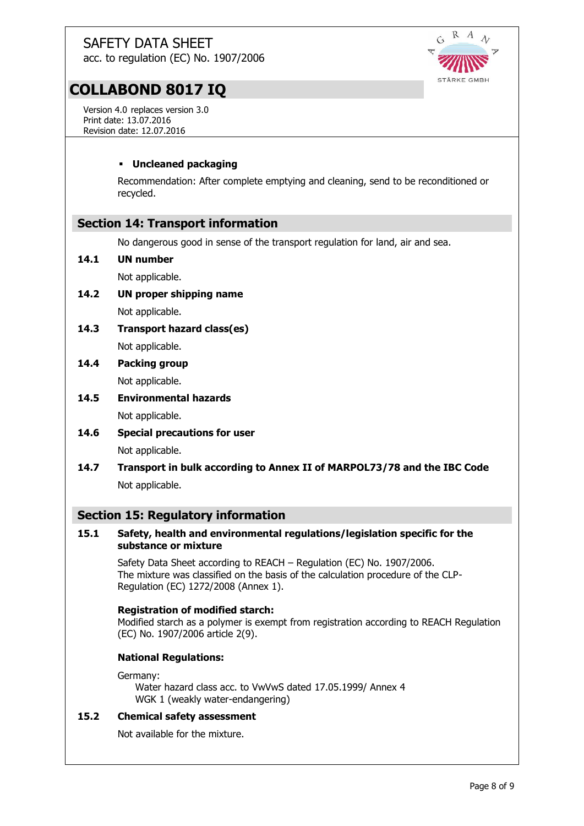acc. to regulation (EC) No. 1907/2006



## **COLLABOND 8017 IQ**

Version 4.0 replaces version 3.0 Print date: 13.07.2016 Revision date: 12.07.2016

### **Uncleaned packaging**

Recommendation: After complete emptying and cleaning, send to be reconditioned or recycled.

## **Section 14: Transport information**

No dangerous good in sense of the transport regulation for land, air and sea.

#### **14.1 UN number**

Not applicable.

- **14.2 UN proper shipping name** Not applicable.
- **14.3 Transport hazard class(es)** Not applicable.
- **14.4 Packing group**

Not applicable.

- **14.5 Environmental hazards** Not applicable.
- **14.6 Special precautions for user** Not applicable.
- **14.7 Transport in bulk according to Annex II of MARPOL73/78 and the IBC Code** Not applicable.

## **Section 15: Regulatory information**

#### **15.1 Safety, health and environmental regulations/legislation specific for the substance or mixture**

Safety Data Sheet according to REACH – Regulation (EC) No. 1907/2006. The mixture was classified on the basis of the calculation procedure of the CLP-Regulation (EC) 1272/2008 (Annex 1).

#### **Registration of modified starch:**

Modified starch as a polymer is exempt from registration according to REACH Regulation (EC) No. 1907/2006 article 2(9).

#### **National Regulations:**

#### Germany:

Water hazard class acc. to VwVwS dated 17.05.1999/ Annex 4 WGK 1 (weakly water-endangering)

### **15.2 Chemical safety assessment**

Not available for the mixture.